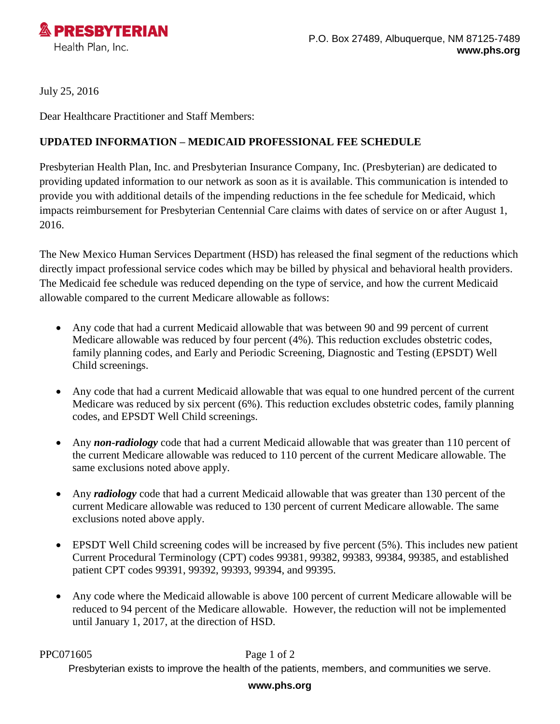

July 25, 2016

Dear Healthcare Practitioner and Staff Members:

## **UPDATED INFORMATION – MEDICAID PROFESSIONAL FEE SCHEDULE**

Presbyterian Health Plan, Inc. and Presbyterian Insurance Company, Inc. (Presbyterian) are dedicated to providing updated information to our network as soon as it is available. This communication is intended to provide you with additional details of the impending reductions in the fee schedule for Medicaid, which impacts reimbursement for Presbyterian Centennial Care claims with dates of service on or after August 1, 2016.

The New Mexico Human Services Department (HSD) has released the final segment of the reductions which directly impact professional service codes which may be billed by physical and behavioral health providers. The Medicaid fee schedule was reduced depending on the type of service, and how the current Medicaid allowable compared to the current Medicare allowable as follows:

- Any code that had a current Medicaid allowable that was between 90 and 99 percent of current Medicare allowable was reduced by four percent (4%). This reduction excludes obstetric codes, family planning codes, and Early and Periodic Screening, Diagnostic and Testing (EPSDT) Well Child screenings.
- Any code that had a current Medicaid allowable that was equal to one hundred percent of the current Medicare was reduced by six percent (6%). This reduction excludes obstetric codes, family planning codes, and EPSDT Well Child screenings.
- Any *non-radiology* code that had a current Medicaid allowable that was greater than 110 percent of the current Medicare allowable was reduced to 110 percent of the current Medicare allowable. The same exclusions noted above apply.
- Any *radiology* code that had a current Medicaid allowable that was greater than 130 percent of the current Medicare allowable was reduced to 130 percent of current Medicare allowable. The same exclusions noted above apply.
- $\bullet$  EPSDT Well Child screening codes will be increased by five percent (5%). This includes new patient Current Procedural Terminology (CPT) codes 99381, 99382, 99383, 99384, 99385, and established patient CPT codes 99391, 99392, 99393, 99394, and 99395.
- Any code where the Medicaid allowable is above 100 percent of current Medicare allowable will be reduced to 94 percent of the Medicare allowable. However, the reduction will not be implemented until January 1, 2017, at the direction of HSD.

PPC071605 Page 1 of 2

Presbyterian exists to improve the health of the patients, members, and communities we serve.

## **www.phs.org**